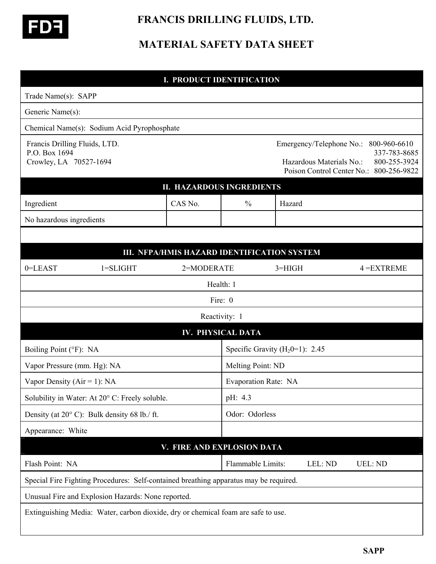

## **FRANCIS DRILLING FLUIDS, LTD.**

## **MATERIAL SAFETY DATA SHEET**

| <b>I. PRODUCT IDENTIFICATION</b>                                                      |                          |                                             |                   |                                   |                                                      |                                                                                         |  |
|---------------------------------------------------------------------------------------|--------------------------|---------------------------------------------|-------------------|-----------------------------------|------------------------------------------------------|-----------------------------------------------------------------------------------------|--|
| Trade Name(s): SAPP                                                                   |                          |                                             |                   |                                   |                                                      |                                                                                         |  |
| Generic Name(s):                                                                      |                          |                                             |                   |                                   |                                                      |                                                                                         |  |
| Chemical Name(s): Sodium Acid Pyrophosphate                                           |                          |                                             |                   |                                   |                                                      |                                                                                         |  |
| Francis Drilling Fluids, LTD.<br>P.O. Box 1694<br>Crowley, LA 70527-1694              |                          |                                             |                   |                                   | Emergency/Telephone No.:<br>Hazardous Materials No.: | 800-960-6610<br>337-783-8685<br>800-255-3924<br>Poison Control Center No.: 800-256-9822 |  |
| <b>II. HAZARDOUS INGREDIENTS</b>                                                      |                          |                                             |                   |                                   |                                                      |                                                                                         |  |
| Ingredient                                                                            |                          | CAS No.                                     | $\frac{0}{0}$     | Hazard                            |                                                      |                                                                                         |  |
| No hazardous ingredients                                                              |                          |                                             |                   |                                   |                                                      |                                                                                         |  |
|                                                                                       |                          |                                             |                   |                                   |                                                      |                                                                                         |  |
|                                                                                       |                          | III. NFPA/HMIS HAZARD IDENTIFICATION SYSTEM |                   |                                   |                                                      |                                                                                         |  |
| 0=LEAST                                                                               | $1 = SLIGHT$             | 2=MODERATE                                  |                   | $3 = HIGH$                        |                                                      | $4 = EXTREME$                                                                           |  |
|                                                                                       |                          |                                             | Health: 1         |                                   |                                                      |                                                                                         |  |
| Fire: 0                                                                               |                          |                                             |                   |                                   |                                                      |                                                                                         |  |
|                                                                                       |                          |                                             | Reactivity: 1     |                                   |                                                      |                                                                                         |  |
|                                                                                       | <b>IV. PHYSICAL DATA</b> |                                             |                   |                                   |                                                      |                                                                                         |  |
| Boiling Point (°F): NA                                                                |                          |                                             |                   | Specific Gravity $(H20=1)$ : 2.45 |                                                      |                                                                                         |  |
| Vapor Pressure (mm. Hg): NA                                                           |                          |                                             |                   | Melting Point: ND                 |                                                      |                                                                                         |  |
| Vapor Density ( $Air = 1$ ): NA                                                       |                          |                                             |                   | Evaporation Rate: NA              |                                                      |                                                                                         |  |
| Solubility in Water: At 20° C: Freely soluble.                                        |                          |                                             | pH: 4.3           |                                   |                                                      |                                                                                         |  |
| Density (at $20^{\circ}$ C): Bulk density 68 lb./ ft.                                 |                          |                                             |                   | Odor: Odorless                    |                                                      |                                                                                         |  |
| Appearance: White                                                                     |                          |                                             |                   |                                   |                                                      |                                                                                         |  |
| V. FIRE AND EXPLOSION DATA                                                            |                          |                                             |                   |                                   |                                                      |                                                                                         |  |
| Flash Point: NA                                                                       |                          |                                             | Flammable Limits: |                                   | LEL: ND                                              | <b>UEL: ND</b>                                                                          |  |
| Special Fire Fighting Procedures: Self-contained breathing apparatus may be required. |                          |                                             |                   |                                   |                                                      |                                                                                         |  |
| Unusual Fire and Explosion Hazards: None reported.                                    |                          |                                             |                   |                                   |                                                      |                                                                                         |  |
| Extinguishing Media: Water, carbon dioxide, dry or chemical foam are safe to use.     |                          |                                             |                   |                                   |                                                      |                                                                                         |  |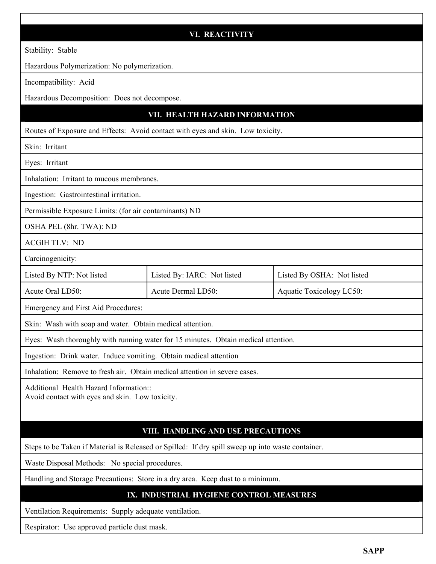|                                                                                                   | <b>VI. REACTIVITY</b>                   |                            |
|---------------------------------------------------------------------------------------------------|-----------------------------------------|----------------------------|
| Stability: Stable                                                                                 |                                         |                            |
| Hazardous Polymerization: No polymerization.                                                      |                                         |                            |
| Incompatibility: Acid                                                                             |                                         |                            |
| Hazardous Decomposition: Does not decompose.                                                      |                                         |                            |
|                                                                                                   | VII. HEALTH HAZARD INFORMATION          |                            |
| Routes of Exposure and Effects: Avoid contact with eyes and skin. Low toxicity.                   |                                         |                            |
| Skin: Irritant                                                                                    |                                         |                            |
| Eyes: Irritant                                                                                    |                                         |                            |
| Inhalation: Irritant to mucous membranes.                                                         |                                         |                            |
| Ingestion: Gastrointestinal irritation.                                                           |                                         |                            |
| Permissible Exposure Limits: (for air contaminants) ND                                            |                                         |                            |
| OSHA PEL (8hr. TWA): ND                                                                           |                                         |                            |
| <b>ACGIH TLV: ND</b>                                                                              |                                         |                            |
| Carcinogenicity:                                                                                  |                                         |                            |
| Listed By NTP: Not listed                                                                         | Listed By: IARC: Not listed             | Listed By OSHA: Not listed |
| Acute Oral LD50:                                                                                  | Acute Dermal LD50:                      | Aquatic Toxicology LC50:   |
| Emergency and First Aid Procedures:                                                               |                                         |                            |
| Skin: Wash with soap and water. Obtain medical attention.                                         |                                         |                            |
| Eyes: Wash thoroughly with running water for 15 minutes. Obtain medical attention.                |                                         |                            |
| Ingestion: Drink water. Induce vomiting. Obtain medical attention                                 |                                         |                            |
| Inhalation: Remove to fresh air. Obtain medical attention in severe cases.                        |                                         |                            |
| Additional Health Hazard Information::<br>Avoid contact with eyes and skin. Low toxicity.         |                                         |                            |
|                                                                                                   | VIII. HANDLING AND USE PRECAUTIONS      |                            |
| Steps to be Taken if Material is Released or Spilled: If dry spill sweep up into waste container. |                                         |                            |
| Waste Disposal Methods: No special procedures.                                                    |                                         |                            |
| Handling and Storage Precautions: Store in a dry area. Keep dust to a minimum.                    |                                         |                            |
|                                                                                                   | IX. INDUSTRIAL HYGIENE CONTROL MEASURES |                            |
| Ventilation Requirements: Supply adequate ventilation.                                            |                                         |                            |
| Respirator: Use approved particle dust mask.                                                      |                                         |                            |